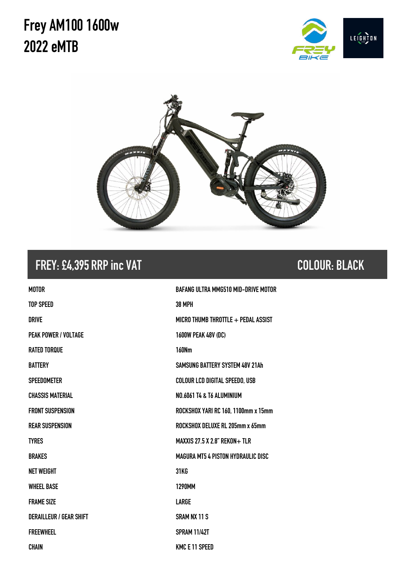# **Frey AM1001600w 2022 eMTB**





#### **FREY: £4,395 RRP inc VAT COLOUR: BLACK**

| <b>MOTOR</b>                   | <b>BAFANG ULTRA MMG510 MID-DRIVE MOTOR</b> |
|--------------------------------|--------------------------------------------|
| <b>TOP SPEED</b>               | <b>38 MPH</b>                              |
| <b>DRIVE</b>                   | MICRO THUMB THROTTLE + PEDAL ASSIST        |
| <b>PEAK POWER / VOLTAGE</b>    | <b>1600W PEAK 48V (DC)</b>                 |
| <b>RATED TORQUE</b>            | <b>160Nm</b>                               |
| <b>BATTERY</b>                 | SAMSUNG BATTERY SYSTEM 48V 21Ah            |
| <b>SPEEDOMETER</b>             | <b>COLOUR LCD DIGITAL SPEEDO, USB</b>      |
| <b>CHASSIS MATERIAL</b>        | <b>NO.6061 T4 &amp; T6 ALUMINIUM</b>       |
| <b>FRONT SUSPENSION</b>        | ROCKSHOX YARI RC 160, 1100mm x 15mm        |
| <b>REAR SUSPENSION</b>         | ROCKSHOX DELUXE RL 205mm x 65mm            |
| <b>TYRES</b>                   | <b>MAXXIS 27.5 X 2.8" REKON+ TLR</b>       |
| <b>BRAKES</b>                  | <b>MAGURA MT5 4 PISTON HYDRAULIC DISC</b>  |
| <b>NET WEIGHT</b>              | <b>31KG</b>                                |
| <b>WHEEL BASE</b>              | <b>1290MM</b>                              |
| <b>FRAME SIZE</b>              | LARGE                                      |
| <b>DERAILLEUR / GEAR SHIFT</b> | <b>SRAM NX 11 S</b>                        |
| <b>FREEWHEEL</b>               | <b>SPRAM 11/42T</b>                        |
| <b>CHAIN</b>                   | <b>KMC E 11 SPEED</b>                      |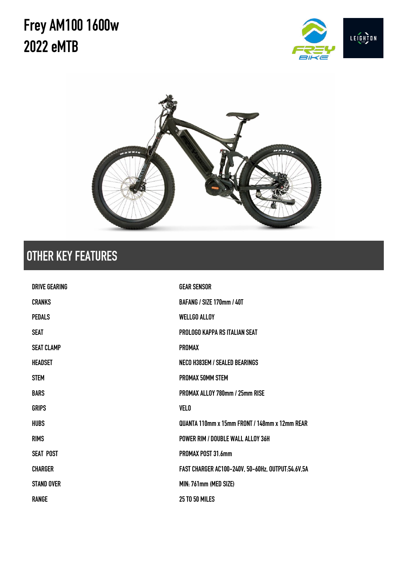# **Frey AM1001600w 2022 eMTB**





### **OTHER KEY FEATURES**

| DRIVE GFARING     | <b>GEAR SENSOR</b>                                 |
|-------------------|----------------------------------------------------|
| <b>CRANKS</b>     | <b>BAFANG / SIZE 170mm / 40T</b>                   |
| <b>PEDALS</b>     | <b>WELLGO ALLOY</b>                                |
| <b>SEAT</b>       | PROLOGO KAPPA RS ITALIAN SEAT                      |
| <b>SEAT CLAMP</b> | <b>PROMAX</b>                                      |
| HEADSET           | <b>NECO H383EM / SEALED BEARINGS</b>               |
| <b>STEM</b>       | PROMAX 50MM STEM                                   |
| <b>BARS</b>       | PROMAX ALLOY 780mm / 25mm RISE                     |
| <b>GRIPS</b>      | <b>VELO</b>                                        |
| <b>HUBS</b>       | QUANTA 110mm x 15mm FRONT / 148mm x 12mm REAR      |
| <b>RIMS</b>       | POWER RIM / DOUBLE WALL ALLOY 36H                  |
| <b>SEAT POST</b>  | PROMAX POST 31.6mm                                 |
| <b>CHARGER</b>    | FAST CHARGER AC100-240V, 50-60Hz, OUTPUT:54.6V, 5A |
| <b>STAND OVER</b> | MIN: 761mm (MED SIZE)                              |
| <b>RANGE</b>      | <b>25 TO 50 MILES</b>                              |